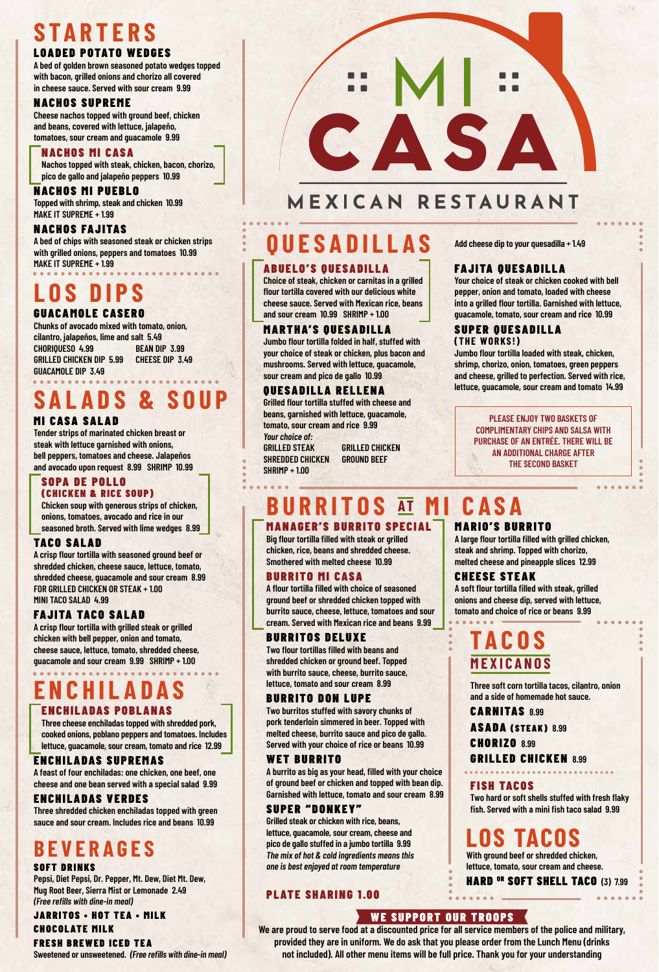# **STARTERS**

### LOADED POTATO WEDGES

**A bed of golden brown seasoned potato wedges topped with bacon, grilled onions and chorizo all covered in cheese sauce. Served with sour cream 9.99**

### NACHOS SUPREME

**Cheese nachos topped with ground beef, chicken and beans, covered with lettuce, jalapeño, tomatoes, sour cream and guacamole 9.99**

### NACHOS MI CASA

**Nachos topped with steak, chicken, bacon, chorizo, pico de gallo and jalapeño peppers 10.99**

NACHOS MI PUEBLO **Topped with shrimp, steak and chicken 10.99 MAKE IT SUPREME + 1.99**

### NACHOS FAJITAS

**A bed of chips with seasoned steak or chicken strips with grilled onions, peppers and tomatoes 10.99 MAKE IT SUPREME + 1.99**

# **LOS DIPS**

GUACAMOLE CASERO **Chunks of avocado mixed with tomato, onion, cilantro, jalapeños, lime and salt 5.49 CHORIQUESO 4.99 BEAN DIP 3.99 GRILLED CHICKEN DIP 5.99 CHEESE DIP 3.49 GUACAMOLE DIP 3.49**

### **SALADS & SOUP** MI CASA SALAD

**Tender strips of marinated chicken breast or steak with lettuce garnished with onions, bell peppers, tomatoes and cheese. Jalapeños and avocado upon request 8.99 SHRIMP 10.99**

### SOPA DE POLLO

### (CHICKEN & RICE SOUP)

**Chicken soup with generous strips of chicken, onions, tomatoes, avocado and rice in our seasoned broth. Served with lime wedges 8.99**

### TACO SALAD

**A crisp flour tortilla with seasoned ground beef or shredded chicken, cheese sauce, lettuce, tomato, shredded cheese, guacamole and sour cream 8.99 FOR GRILLED CHICKEN OR STEAK + 1.00 MINI TACO SALAD 4.99**

### FAJITA TACO SALAD

**A crisp flour tortilla with grilled steak or grilled chicken with bell pepper, onion and tomato, cheese sauce, lettuce, tomato, shredded cheese, guacamole and sour cream 9.99 SHRIMP + 1.00**

## **ENCHILADAS**

ENCHILADAS POBLANAS

**Three cheese enchiladas topped with shredded pork, cooked onions, poblano peppers and tomatoes. Includes lettuce, guacamole, sour cream, tomato and rice 12.99**

### ENCHILADAS SUPREMAS

**A feast of four enchiladas: one chicken, one beef, one cheese and one bean served with a special salad 9.99**

### ENCHILADAS VERDES

**Three shredded chicken enchiladas topped with green sauce and sour cream. Includes rice and beans 10.99**

## **BEVERAGES**

### SOFT DRINKS

**Pepsi, Diet Pepsi, Dr. Pepper, Mt. Dew, Diet Mt. Dew, Mug Root Beer, Sierra Mist or Lemonade 2.49** *(Free refills with dine-in meal)*

JARRITOS • HOT TEA • MILK

CHOCOLATE MILK FRESH BREWED ICED TEA

**Sweetened or unsweetened.** *(Free refills with dine-in meal)*



## MEXICAN RESTAURANT

## **QUESADILLAS Add cheese dip to your quesadilla + 1.49**

### ABUELO'S QUESADILLA

**Choice of steak, chicken or carnitas in a grilled flour tortilla covered with our delicious white cheese sauce. Served with Mexican rice, beans and sour cream 10.99 SHRIMP + 1.00**

### MARTHA'S QUESADILLA

**Jumbo flour tortilla folded in half, stuffed with your choice of steak or chicken, plus bacon and mushrooms. Served with lettuce, guacamole, sour cream and pico de gallo 10.99**

### QUESADILLA RELLENA

**Grilled flour tortilla stuffed with cheese and beans, garnished with lettuce, guacamole, tomato, sour cream and rice 9.99** *Your choice of:* **GRILLED STEAK GRILLED CHICKEN SHREDDED CHICKEN GROUND BEEF SHRIMP + 1.00**

### FAJITA QUESADILLA

**Your choice of steak or chicken cooked with bell pepper, onion and tomato, loaded with cheese into a grilled flour tortilla. Garnished with lettuce, guacamole, tomato, sour cream and rice 10.99**

#### SUPER QUESADILLA **(THE WORKS!)**

**Jumbo flour tortilla loaded with steak, chicken, shrimp, chorizo, onion, tomatoes, green peppers and cheese, grilled to perfection. Served with rice, lettuce, guacamole, sour cream and tomato 14.99**

> **PLEASE ENJOY TWO BASKETS OF COMPLIMENTARY CHIPS AND SALSA WITH PURCHASE OF AN ENTRÉE. THERE WILL BE AN ADDITIONAL CHARGE AFTER THE SECOND BASKET**

**A large flour tortilla filled with grilled chicken, steak and shrimp. Topped with chorizo, melted cheese and pineapple slices 12.99**

**A soft flour tortilla filled with steak, grilled onions and cheese dip, served with lettuce, tomato and choice of rice or beans 9.99**

**Three soft corn tortilla tacos, cilantro, onion** 

**Two hard or soft shells stuffed with fresh flaky fish. Served with a mini fish taco salad 9.99**

HARD <sup>OR</sup> SOFT SHELL TACO (3) 7.99

**and a side of homemade hot sauce.**

GRILLED CHICKEN **8.99**

**LOS TACOS**

**With ground beef or shredded chicken, lettuce, tomato, sour cream and cheese.**

CHEESE STEAK

**TACOS**

**MEXICANOS**

CARNITAS **8.99**

CHORIZO **8.99**

FISH TACOS

ASADA (STEAK) **8.99**

### MARIO'S BURRITO **BURRITOS AT MI CASA**

### MANAGER'S BURRITO SPECIAL

**Big flour tortilla filled with steak or grilled chicken, rice, beans and shredded cheese. Smothered with melted cheese 10.99**

### BURRITO MI CASA

**A flour tortilla filled with choice of seasoned ground beef or shredded chicken topped with burrito sauce, cheese, lettuce, tomatoes and sour cream. Served with Mexican rice and beans 9.99**

### BURRITOS DELUXE

**Two flour tortillas filled with beans and shredded chicken or ground beef. Topped with burrito sauce, cheese, burrito sauce, lettuce, tomato and sour cream 8.99**

### BURRITO DON LUPE

**Two burritos stuffed with savory chunks of pork tenderloin simmered in beer. Topped with melted cheese, burrito sauce and pico de gallo. Served with your choice of rice or beans 10.99**

### WET BURRITO

**A burrito as big as your head, filled with your choice of ground beef or chicken and topped with bean dip. Garnished with lettuce, tomato and sour cream 8.99**

### SUPER "DONKEY"

**Grilled steak or chicken with rice, beans, lettuce, guacamole, sour cream, cheese and pico de gallo stuffed in a jumbo tortilla 9.99** *The mix of hot & cold ingredients means this one is best enjoyed at room temperature*

### PLATE SHARING 1.00

### WE SUPPORT OUR TROOPS

**We are proud to serve food at a discounted price for all service members of the police and military, provided they are in uniform. We do ask that you please order from the Lunch Menu (drinks not included). All other menu items will be full price. Thank you for your understanding**